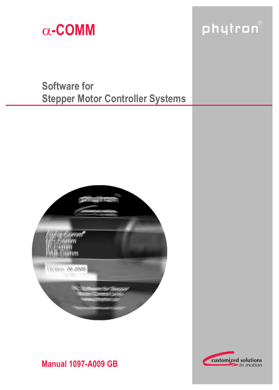

# phytron®

# **Software for Stepper Motor Controller Systems**





# **Manual 1097-A009 GB**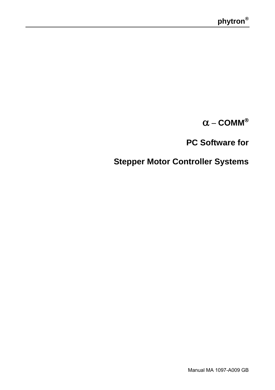α − **COMM**®

**PC Software for** 

 **Stepper Motor Controller Systems**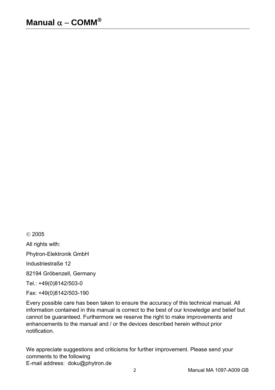© 2005

All rights with:

Phytron-Elektronik GmbH

Industriestraße 12

82194 Gröbenzell, Germany

Tel.: +49(0)8142/503-0

Fax: +49(0)8142/503-190

Every possible care has been taken to ensure the accuracy of this technical manual. All information contained in this manual is correct to the best of our knowledge and belief but cannot be guaranteed. Furthermore we reserve the right to make improvements and enhancements to the manual and / or the devices described herein without prior notification.

We appreciate suggestions and criticisms for further improvement. Please send your comments to the following E-mail address: doku@phytron.de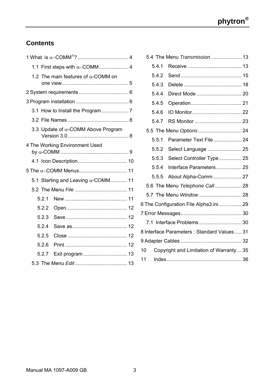# **Contents**

|       | 1.2 The main features of $\alpha$ -COMM on |  |
|-------|--------------------------------------------|--|
|       |                                            |  |
|       |                                            |  |
|       |                                            |  |
|       |                                            |  |
|       | 3.3 Update of $\alpha$ -COMM Above Program |  |
|       | 4 The Working Environment Used             |  |
|       |                                            |  |
|       |                                            |  |
|       | 5.1 Starting and Leaving $\alpha$ -COMM 11 |  |
|       |                                            |  |
| 5.2.1 |                                            |  |
| 5.2.2 |                                            |  |
| 5.2.3 |                                            |  |
| 5.2.4 |                                            |  |
| 5.2.5 |                                            |  |
| 5.2.6 |                                            |  |
| 527   | Exit program  13                           |  |
|       |                                            |  |

|       | 5.4 The Menu Transmission 13               |  |
|-------|--------------------------------------------|--|
| 5.4.1 |                                            |  |
| 5.4.2 |                                            |  |
| 5.4.3 |                                            |  |
| 5.4.4 |                                            |  |
| 5.4.5 |                                            |  |
| 5.4.6 |                                            |  |
| 5.4.7 |                                            |  |
|       | 5.5 The Menu Options 24                    |  |
| 5.5.1 |                                            |  |
| 5.5.2 | Select Language  25                        |  |
| 5.5.3 | Select Controller Type 25                  |  |
| 5.5.4 | Interface Parameters 25                    |  |
| 5.5.5 | About Alpha-Comm  27                       |  |
|       | 5.6 The Menu Telephone Call 28             |  |
|       | 5.7 The Menu Window  28                    |  |
|       | 6 The Configuration File Alpha3.ini 29     |  |
|       |                                            |  |
|       | 7.1 Interface Problems  30                 |  |
|       | 8 Interface Parameters: Standard Values 31 |  |
|       |                                            |  |
| 10    | Copyright and Limitation of Warranty  35   |  |
| 11    |                                            |  |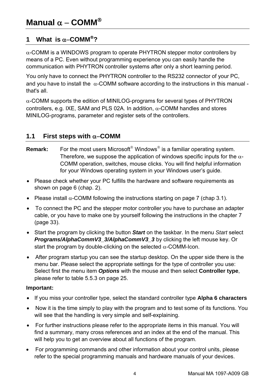# **1 What is** α−**COMM**®**?**

 $\alpha$ -COMM is a WINDOWS program to operate PHYTRON stepper motor controllers by means of a PC. Even without programming experience you can easily handle the communication with PHYTRON controller systems after only a short learning period.

You only have to connect the PHYTRON controller to the RS232 connector of your PC, and you have to install the  $\alpha$ -COMM software according to the instructions in this manual that's all.

 $\alpha$ -COMM supports the edition of MINILOG-programs for several types of PHYTRON controllers, e.g. IXE, SAM and PLS 02A. In addition, α-COMM handles and stores MINILOG-programs, parameter and register sets of the controllers.

# **1.1 First steps with** α−**COMM**

- **Remark:** For the most users Microsoft® Windows® is a familiar operating system. Therefore, we suppose the application of windows specific inputs for the  $\alpha$ -COMM operation, switches, mouse clicks. You will find helpful information for your Windows operating system in your Windows user's guide.
- Please check whether your PC fulfills the hardware and software requirements as shown on page 6 (chap. 2).
- Please install  $\alpha$ -COMM following the instructions starting on page 7 (chap 3.1).
- To connect the PC and the stepper motor controller you have to purchase an adapter cable, or you have to make one by yourself following the instructions in the chapter 7 (page 33).
- Start the program by clicking the button *Start* on the taskbar. In the menu *Start* select *Programs/AlphaCommV3\_3/AlphaCommV3\_3* by clicking the left mouse key. Or start the program by double-clicking on the selected  $\alpha$ -COMM-Icon.
- After program startup you can see the startup desktop. On the upper side there is the menu bar. Please select the appropriate settings for the type of controller you use: Select first the menu item *Options* with the mouse and then select **Controller type**, please refer to table 5.5.3 on page 25.

#### **Important:**

- If you miss your controller type, select the standard controller type **Alpha 6 characters**
- Now it is the time simply to play with the program and to test some of its functions. You will see that the handling is very simple and self-explaining.
- For further instructions please refer to the appropriate items in this manual. You will find a summary, many cross references and an index at the end of the manual. This will help you to get an overview about all functions of the program.
- For programming commands and other information about your control units, please refer to the special programming manuals and hardware manuals of your devices.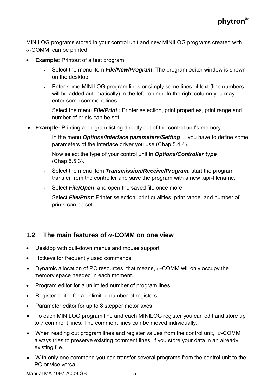MINILOG programs stored in your control unit and new MINILOG programs created with  $\alpha$ -COMM can be printed.

- **Example:** Printout of a test program
	- Select the menu item *File/New/Program*: The program editor window is shown on the desktop.
	- Enter some MINILOG program lines or simply some lines of text (line numbers will be added automatically) in the left column. In the right column you may enter some comment lines.
	- Select the menu **File/Print**: Printer selection, print properties, print range and number of prints can be set
- **Example:** Printing a program listing directly out of the control unit's memory
	- In the menu **Options/Interface parameters/Setting** ... you have to define some parameters of the interface driver you use (Chap.5.4.4).
	- Now select the type of your control unit in *Options/Controller type*  (Chap 5.5.3).
	- Select the menu item *Transmission/Receive/Program,* start the program transfer from the controller and save the program with a new .apr-filename.
	- Select **File/Open** and open the saved file once more
	- Select *File/Print:* Printer selection, print qualities, print range and number of prints can be set

# **1.2 The main features of** α**-COMM on one view**

- Desktop with pull-down menus and mouse support
- Hotkeys for frequently used commands
- Dynamic allocation of PC resources, that means,  $\alpha$ -COMM will only occupy the memory space needed in each moment.
- Program editor for a unlimited number of program lines
- Register editor for a unlimited number of registers
- Parameter editor for up to 8 stepper motor axes
- To each MINILOG program line and each MINILOG register you can edit and store up to 7 comment lines. The comment lines can be moved individually.
- When reading out program lines and register values from the control unit,  $\alpha$ -COMM always tries to preserve existing comment lines, if you store your data in an already existing file.
- With only one command you can transfer several programs from the control unit to the PC or vice versa.

Manual MA 1097-A009 GB 5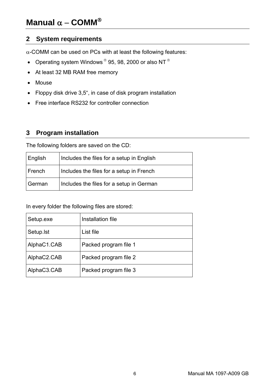# **2 System requirements**

 $\alpha$ -COMM can be used on PCs with at least the following features:

- Operating system Windows ® 95, 98, 2000 or also NT ®
- At least 32 MB RAM free memory
- Mouse
- Floppy disk drive 3,5", in case of disk program installation
- Free interface RS232 for controller connection

# **3 Program installation**

The following folders are saved on the CD:

| English | Includes the files for a setup in English |
|---------|-------------------------------------------|
| French  | Includes the files for a setup in French  |
| German  | Includes the files for a setup in German  |

In every folder the following files are stored:

| Setup.exe   | Installation file     |
|-------------|-----------------------|
| Setup. Ist  | List file             |
| AlphaC1.CAB | Packed program file 1 |
| AlphaC2.CAB | Packed program file 2 |
| AlphaC3.CAB | Packed program file 3 |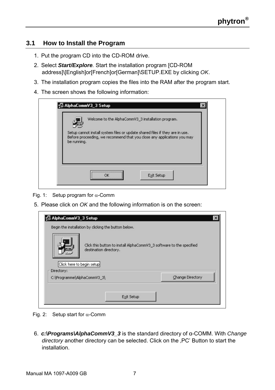# **3.1 How to Install the Program**

- 1. Put the program CD into the CD-ROM drive.
- 2. Select *Start/Explore.* Start the installation program [CD-ROM address]\[English]or[French]or[German]\SETUP.EXE by clicking *OK*.
- 3. The installation program copies the files into the RAM after the program start.
- 4. The screen shows the following information:

|             | Welcome to the AlphaCommV3 3 installation program.                                                                                                      |  |
|-------------|---------------------------------------------------------------------------------------------------------------------------------------------------------|--|
| be running. | Setup cannot install system files or update shared files if they are in use.<br>Before proceeding, we recommend that you close any applications you may |  |
|             |                                                                                                                                                         |  |

Fig. 1: Setup program for  $\alpha$ -Comm

5. Please click on *OK* and the following information is on the screen:

| Click here to begin setup<br>Directory: | destination directory. | Click this button to install AlphaCommV3 3 software to the specified |
|-----------------------------------------|------------------------|----------------------------------------------------------------------|
| C:\Programme\AlphaCommV3_3\             |                        | Change Directory                                                     |

Fig. 2: Setup start for  $\alpha$ -Comm

6. *c:\Programs\AlphaCommV3\_3* is the standard directory of α-COMM. With *Change*  directory another directory can be selected. Click on the .PC' Button to start the installation.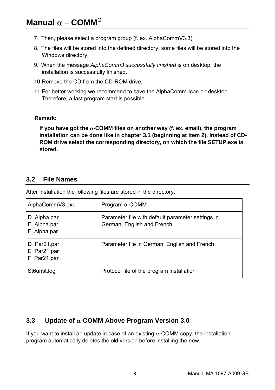- 7. Then, please select a program group (f. ex. AlphaCommV3.3).
- 8. The files will be stored into the defined directory, some files will be stored into the Windows directory.
- 9. When the message *AlphaComm3 successfully finished* is on desktop, the installation is successfully finished.
- 10. Remove the CD from the CD-ROM drive.
- 11. For better working we recommend to save the AlphaComm-Icon on desktop. Therefore, a fast program start is possible.

#### **Remark:**

**If you have got the** α**-COMM files on another way (f. ex. email), the program installation can be done like in chapter 3.1 (beginning at item 2). Instead of CD-ROM drive select the corresponding directory, on which the file SETUP.exe is stored.** 

### **3.2 File Names**

| AlphaCommV3.exe                           | Program $\alpha$ -COMM                                                          |
|-------------------------------------------|---------------------------------------------------------------------------------|
| D Alpha.par<br>E_Alpha.par<br>F_Alpha.par | Parameter file with default parameter settings in<br>German, English and French |
| D Par21.par<br>E Par21.par<br>F Par21.par | Parameter file in German, English and French                                    |
| St6unst.log                               | Protocol file of the program installation                                       |

After installation the following files are stored in the directory:

# **3.3 Update of** α**-COMM Above Program Version 3.0**

If you want to install an update in case of an existing  $\alpha$ -COMM copy, the installation program automatically deletes the old version before installing the new.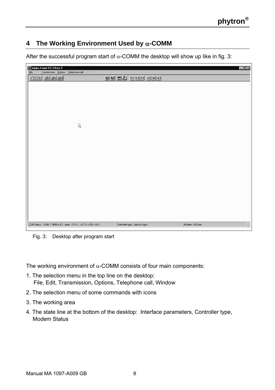# **4 The Working Environment Used by** α**-COMM**

After the successful program start of  $\alpha$ -COMM the desktop will show up like in fig. 3:

| Alpha Comm V3.3 Beta 5<br>Eile Edit Transmission Options Telephone call Window<br><u>ddd e e e </u> | OBC 2 2 2 2 2 2 3 3 3 4 3 4     | $ \theta$ $\times$ |
|-----------------------------------------------------------------------------------------------------|---------------------------------|--------------------|
|                                                                                                     |                                 |                    |
|                                                                                                     |                                 |                    |
|                                                                                                     |                                 |                    |
| $\mathbb{A}$                                                                                        |                                 |                    |
|                                                                                                     |                                 |                    |
|                                                                                                     |                                 |                    |
|                                                                                                     |                                 |                    |
|                                                                                                     |                                 |                    |
|                                                                                                     |                                 |                    |
|                                                                                                     |                                 |                    |
| COM Status: COM 1: 9600,n,8,1 open <stx><etx>,<cr>,<lf></lf></cr></etx></stx>                       | Controller type : Alpha 6 signs | Modem: Off Line    |

Fig. 3: Desktop after program start

The working environment of  $\alpha$ -COMM consists of four main components:

- 1. The selection menu in the top line on the desktop: File, Edit, Transmission, Options, Telephone call, Window
- 2. The selection menu of some commands with icons
- 3. The working area
- 4. The state line at the bottom of the desktop: Interface parameters, Controller type, Modem Status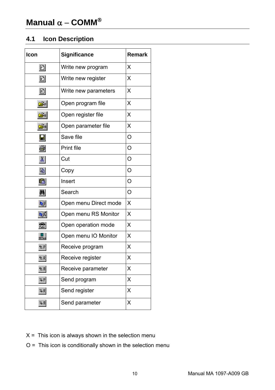# **4.1 Icon Description**

| Icon                  | Significance          | Remark  |
|-----------------------|-----------------------|---------|
| $\boxdot$             | Write new program     | X       |
| $\boxed{R}$           | Write new register    | X       |
| $\boxdot$             | Write new parameters  | X       |
| ☞                     | Open program file     | X       |
| Œκ                    | Open register file    | X       |
| ι                     | Open parameter file   | X       |
| $\blacksquare$        | Save file             | O       |
| 4                     | Print file            | O       |
| 晶                     | Cut                   | O       |
| 电                     | Copy                  | O       |
| q                     | Insert                | O       |
| 鶙                     | Search                | $\circ$ |
| <b>B</b>              | Open menu Direct mode | X       |
| $\mathbf{Q}^R$        | Open menu RS Monitor  | x       |
| 辯                     | Open operation mode   | X       |
| IDMen                 | Open menu IO Monitor  | X       |
| <b>t</b> <sub>P</sub> | Receive program       | X       |
| 2R                    | Receive register      | X       |
| セ用                    | Receive parameter     | X       |
| $7 - P$               | Send program          | X       |
| 3 R                   | Send register         | X       |
| 3 A                   | Send parameter        | X       |

- $X =$  This icon is always shown in the selection menu
- O = This icon is conditionally shown in the selection menu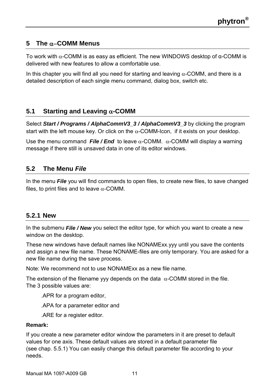# **5 The** α−**COMM Menus**

To work with α-COMM is as easy as efficient. The new WINDOWS desktop of α-COMM is delivered with new features to allow a comfortable use.

In this chapter you will find all you need for starting and leaving  $\alpha$ -COMM, and there is a detailed description of each single menu command, dialog box, switch etc.

# **5.1 Starting and Leaving** α**-COMM**

Select *Start / Programs / AlphaCommV3\_3 / AlphaCommV3\_3* by clicking the program start with the left mouse key. Or click on the  $\alpha$ -COMM-Icon, if it exists on your desktop.

Use the menu command **File / End** to leave  $\alpha$ -COMM.  $\alpha$ -COMM will display a warning message if there still is unsaved data in one of its editor windows.

# **5.2 The Menu** *File*

In the menu *File* you will find commands to open files, to create new files, to save changed files, to print files and to leave  $\alpha$ -COMM.

### **5.2.1 New**

In the submenu *File / New* you select the editor type, for which you want to create a new window on the desktop.

These new windows have default names like NONAMExx.yyy until you save the contents and assign a new file name. These NONAME-files are only temporary. You are asked for a new file name during the save process.

Note: We recommend not to use NONAMExx as a new file name.

The extension of the filename yyy depends on the data  $\alpha$ -COMM stored in the file. The 3 possible values are:

.APR for a program editor,

.APA for a parameter editor and

.ARE for a register editor.

#### **Remark:**

If you create a new parameter editor window the parameters in it are preset to default values for one axis. These default values are stored in a default parameter file (see chap. 5.5.1) You can easily change this default parameter file according to your needs.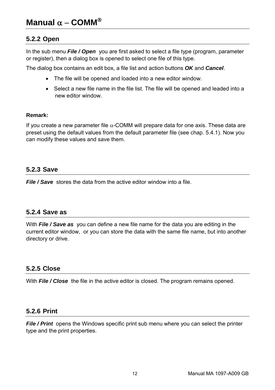# **5.2.2 Open**

In the sub menu *File / Open* you are first asked to select a file type (program, parameter or register), then a dialog box is opened to select one file of this type.

The dialog box contains an edit box, a file list and action buttons *OK* and *Cancel*.

- The file will be opened and loaded into a new editor window.
- Select a new file name in the file list. The file will be opened and leaded into a new editor window.

#### **Remark:**

If you create a new parameter file  $\alpha$ -COMM will prepare data for one axis. These data are preset using the default values from the default parameter file (see chap. 5.4.1). Now you can modify these values and save them.

### **5.2.3 Save**

*File / Save* stores the data from the active editor window into a file.

### **5.2.4 Save as**

With *File / Save as* you can define a new file name for the data you are editing in the current editor window, or you can store the data with the same file name, but into another directory or drive.

# **5.2.5 Close**

With *File / Close* the file in the active editor is closed. The program remains opened.

#### **5.2.6 Print**

*File / Print* opens the Windows specific print sub menu where you can select the printer type and the print properties.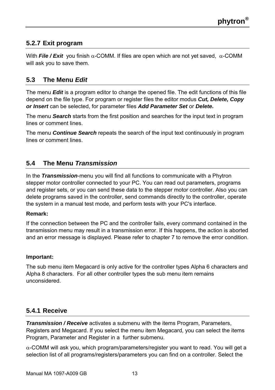# **5.2.7 Exit program**

With *File / Exit* you finish α-COMM. If files are open which are not yet saved, α-COMM will ask you to save them.

# **5.3 The Menu** *Edit*

The menu *Edit* is a program editor to change the opened file. The edit functions of this file depend on the file type. For program or register files the editor modus *Cut, Delete, Copy or Insert* can be selected, for parameter files *Add Parameter Set* or *Delete.* 

The menu *Search* starts from the first position and searches for the input text in program lines or comment lines.

The menu *Continue Search* repeats the search of the input text continuously in program lines or comment lines.

# **5.4 The Menu** *Transmission*

In the *Transmission*-menu you will find all functions to communicate with a Phytron stepper motor controller connected to your PC. You can read out parameters, programs and register sets, or you can send these data to the stepper motor controller. Also you can delete programs saved in the controller, send commands directly to the controller, operate the system in a manual test mode, and perform tests with your PC's interface.

#### **Remark:**

If the connection between the PC and the controller fails, every command contained in the transmission menu may result in a transmission error. If this happens, the action is aborted and an error message is displayed. Please refer to chapter 7 to remove the error condition.

#### **Important:**

The sub menu item Megacard is only active for the controller types Alpha 6 characters and Alpha 8 characters. For all other controller types the sub menu item remains unconsidered.

# **5.4.1 Receive**

*Transmission / Receive activates a submenu with the items Program, Parameters,* Registers and Megacard. If you select the menu item Megacard, you can select the items Program, Parameter and Register in a further submenu.

 $\alpha$ -COMM will ask you, which program/parameters/register you want to read. You will get a selection list of all programs/registers/parameters you can find on a controller. Select the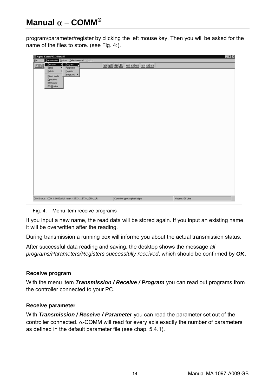program/parameter/register by clicking the left mouse key. Then you will be asked for the name of the files to store. (see Fig. 4:).

| Beceive<br>Program<br>ы                   |                          |  |
|-------------------------------------------|--------------------------|--|
| <b>DDF</b><br>Ľ<br>Send<br>Parameter<br>٠ | 9 9 9 1 1 대리 대학 대학 대학 대학 |  |
| <b>Begister</b><br>Delele<br>k            |                          |  |
| Megacard ><br>Direct mode                 |                          |  |
| <b>Operation</b>                          |                          |  |
| <b>10 Monitor</b>                         |                          |  |
| <b>RS</b> Monitor                         |                          |  |
|                                           |                          |  |
|                                           |                          |  |
|                                           |                          |  |
|                                           |                          |  |
|                                           |                          |  |
|                                           |                          |  |
|                                           |                          |  |
|                                           |                          |  |
|                                           |                          |  |
|                                           |                          |  |
|                                           |                          |  |
|                                           |                          |  |
|                                           |                          |  |
|                                           |                          |  |
|                                           |                          |  |
|                                           |                          |  |
|                                           |                          |  |
|                                           |                          |  |
|                                           |                          |  |
|                                           |                          |  |
|                                           |                          |  |
|                                           |                          |  |
|                                           |                          |  |
|                                           |                          |  |
|                                           |                          |  |
|                                           |                          |  |
|                                           |                          |  |
|                                           |                          |  |
|                                           |                          |  |
|                                           |                          |  |

Fig. 4: Menu item receive programs

If you input a new name, the read data will be stored again. If you input an existing name, it will be overwritten after the reading.

During transmission a running box will informe you about the actual transmission status.

After successful data reading and saving, the desktop shows the message *all programs/Parameters/Registers successfully received*, which should be confirmed by *OK*.

#### **Receive program**

With the menu item *Transmission / Receive / Program* you can read out programs from the controller connected to your PC.

#### **Receive parameter**

With *Transmission / Receive / Parameter* you can read the parameter set out of the controller connected. α-COMM will read for every axis exactly the number of parameters as defined in the default parameter file (see chap. 5.4.1).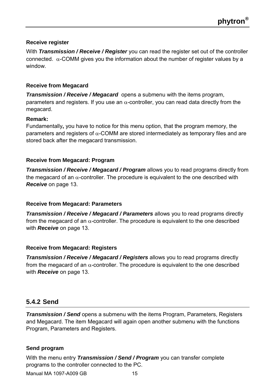#### **Receive register**

With *Transmission / Receive / Register* you can read the register set out of the controller connected.  $α$ -COMM gives you the information about the number of register values by a window.

#### **Receive from Megacard**

*Transmission / Receive / Megacard* opens a submenu with the items program, parameters and registers. If you use an  $\alpha$ -controller, you can read data directly from the megacard.

#### **Remark:**

Fundamentally**,** you have to notice for this menu option, that the program memory, the parameters and registers of  $\alpha$ -COMM are stored intermediately as temporary files and are stored back after the megacard transmission.

#### **Receive from Megacard: Program**

*Transmission / Receive / Megacard / Program* allows you to read programs directly from the megacard of an  $\alpha$ -controller. The procedure is equivalent to the one described with *Receive* on page 13.

#### **Receive from Megacard: Parameters**

*Transmission / Receive / Megacard / Parameters* allows you to read programs directly from the megacard of an  $\alpha$ -controller. The procedure is equivalent to the one described with *Receive* on page 13.

#### **Receive from Megacard: Registers**

*Transmission / Receive / Megacard / Registers* allows you to read programs directly from the megacard of an  $\alpha$ -controller. The procedure is equivalent to the one described with *Receive* on page 13.

### **5.4.2 Send**

*Transmission / Send* opens a submenu with the items Program, Parameters, Registers and Megacard. The item Megacard will again open another submenu with the functions Program, Parameters and Registers.

#### **Send program**

Manual MA 1097-A009 GB 15 With the menu entry *Transmission / Send / Program* you can transfer complete programs to the controller connected to the PC.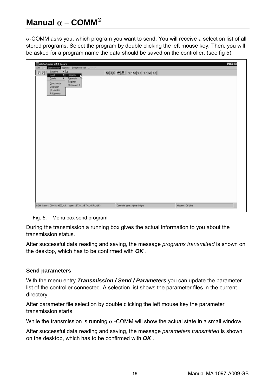α-COMM asks you, which program you want to send. You will receive a selection list of all stored programs. Select the program by double clicking the left mouse key. Then, you will be asked for a program name the data should be saved on the controller. (see fig 5).

| $\underline{\mathbb{E}[\underline{\mathbb{E}}][\underline{\mathbb{E}}]}$ | $\overline{5}$           |  | <u>이어 치리 나자면 관객에</u> |  |  |  |
|--------------------------------------------------------------------------|--------------------------|--|----------------------|--|--|--|
| Send<br>Delete<br>▼                                                      | Pogram<br>ы<br>Parameter |  |                      |  |  |  |
| Direct mode                                                              | Register<br>Megacard +   |  |                      |  |  |  |
| Operation<br>10 Monitor                                                  |                          |  |                      |  |  |  |
| <b>RS Monitor</b>                                                        |                          |  |                      |  |  |  |
|                                                                          |                          |  |                      |  |  |  |
|                                                                          |                          |  |                      |  |  |  |
|                                                                          |                          |  |                      |  |  |  |
|                                                                          |                          |  |                      |  |  |  |
|                                                                          |                          |  |                      |  |  |  |
|                                                                          |                          |  |                      |  |  |  |
|                                                                          |                          |  |                      |  |  |  |
|                                                                          |                          |  |                      |  |  |  |
|                                                                          |                          |  |                      |  |  |  |
|                                                                          |                          |  |                      |  |  |  |
|                                                                          |                          |  |                      |  |  |  |
|                                                                          |                          |  |                      |  |  |  |
|                                                                          |                          |  |                      |  |  |  |
|                                                                          |                          |  |                      |  |  |  |
|                                                                          |                          |  |                      |  |  |  |
|                                                                          |                          |  |                      |  |  |  |
|                                                                          |                          |  |                      |  |  |  |
|                                                                          |                          |  |                      |  |  |  |
|                                                                          |                          |  |                      |  |  |  |
|                                                                          |                          |  |                      |  |  |  |

Fig. 5: Menu box send program

During the transmission a running box gives the actual information to you about the transmission status.

After successful data reading and saving, the message *programs transmitted* is shown on the desktop, which has to be confirmed with *OK* .

#### **Send parameters**

With the menu entry *Transmission / Send / Parameters* you can update the parameter list of the controller connected. A selection list shows the parameter files in the current directory.

After parameter file selection by double clicking the left mouse key the parameter transmission starts.

While the transmission is running  $\alpha$  -COMM will show the actual state in a small window.

After successful data reading and saving, the message *parameters transmitted* is shown on the desktop, which has to be confirmed with *OK* .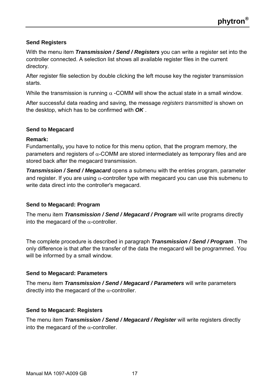#### **Send Registers**

With the menu item *Transmission / Send / Registers* you can write a register set into the controller connected. A selection list shows all available register files in the current directory.

After register file selection by double clicking the left mouse key the register transmission starts.

While the transmission is running  $\alpha$  -COMM will show the actual state in a small window.

After successful data reading and saving, the message *registers transmitted* is shown on the desktop, which has to be confirmed with *OK* .

#### **Send to Megacard**

#### **Remark:**

Fundamentally**,** you have to notice for this menu option, that the program memory, the parameters and registers of  $\alpha$ -COMM are stored intermediately as temporary files and are stored back after the megacard transmission.

*Transmission / Send / Megacard* opens a submenu with the entries program, parameter and register. If you are using  $\alpha$ -controller type with megacard you can use this submenu to write data direct into the controller's megacard.

#### **Send to Megacard: Program**

The menu item *Transmission / Send / Megacard / Program* will write programs directly into the megacard of the  $\alpha$ -controller.

The complete procedure is described in paragraph *Transmission / Send / Program* . The only difference is that after the transfer of the data the megacard will be programmed. You will be informed by a small window.

#### **Send to Megacard: Parameters**

The menu item *Transmission / Send / Megacard / Parameters* will write parameters directly into the megacard of the  $\alpha$ -controller.

#### **Send to Megacard: Registers**

The menu item *Transmission / Send / Megacard / Register* will write registers directly into the megacard of the  $\alpha$ -controller.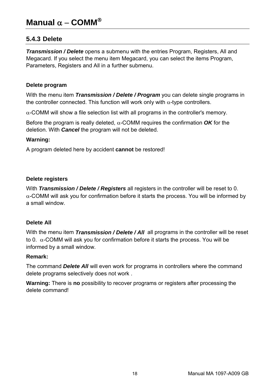### **5.4.3 Delete**

*Transmission / Delete* opens a submenu with the entries Program, Registers, All and Megacard. If you select the menu item Megacard, you can select the items Program, Parameters, Registers and All in a further submenu.

#### **Delete program**

With the menu item *Transmission / Delete / Program* you can delete single programs in the controller connected. This function will work only with  $\alpha$ -type controllers.

 $\alpha$ -COMM will show a file selection list with all programs in the controller's memory.

Before the program is really deleted,  $\alpha$ -COMM requires the confirmation **OK** for the deletion. With *Cancel* the program will not be deleted.

#### **Warning:**

A program deleted here by accident **cannot** be restored!

#### **Delete registers**

With *Transmission / Delete / Registers* all registers in the controller will be reset to 0.  $\alpha$ -COMM will ask you for confirmation before it starts the process. You will be informed by a small window.

#### **Delete All**

With the menu item *Transmission / Delete / All* all programs in the controller will be reset to 0.  $\alpha$ -COMM will ask you for confirmation before it starts the process. You will be informed by a small window.

#### **Remark:**

The command *Delete All* will even work for programs in controllers where the command delete programs selectively does not work .

**Warning:** There is **no** possibility to recover programs or registers after processing the delete command!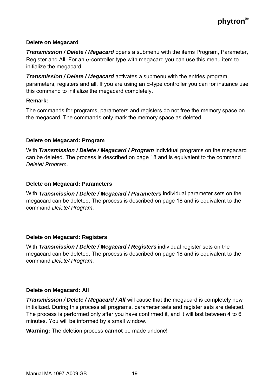#### **Delete on Megacard**

*Transmission / Delete / Megacard* opens a submenu with the items Program, Parameter, Register and All. For an  $\alpha$ -controller type with megacard you can use this menu item to initialize the megacard.

*Transmission / Delete / Megacard* activates a submenu with the entries program, parameters, registers and all. If you are using an  $\alpha$ -type controller you can for instance use this command to initialize the megacard completely.

#### **Remark:**

The commands for programs, parameters and registers do not free the memory space on the megacard. The commands only mark the memory space as deleted.

#### **Delete on Megacard: Program**

With *Transmission / Delete / Megacard / Program* individual programs on the megacard can be deleted. The process is described on page 18 and is equivalent to the command *Delete/ Program*.

#### **Delete on Megacard: Parameters**

With *Transmission / Delete / Megacard / Parameters* individual parameter sets on the megacard can be deleted. The process is described on page 18 and is equivalent to the command *Delete/ Program*.

#### **Delete on Megacard: Registers**

With *Transmission / Delete / Megacard / Registers* individual register sets on the megacard can be deleted. The process is described on page 18 and is equivalent to the command *Delete/ Program*.

#### **Delete on Megacard: All**

*Transmission / Delete / Megacard / All* will cause that the megacard is completely new initialized. During this process all programs, parameter sets and register sets are deleted. The process is performed only after you have confirmed it, and it will last between 4 to 6 minutes. You will be informed by a small window.

**Warning:** The deletion process **cannot** be made undone!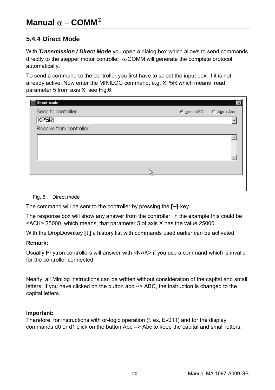# **5.4.4 Direct Mode**

With *Transmission / Direct Mode* you open a dialog box which allows to send commands directly to the stepper motor controller. α-COMM will generate the complete protocol automatically.

To send a command to the controller you first have to select the input box, if it is not already active. Now enter the MINILOG command, e.g. XP5R which means read parameter 5 from axis X, see Fig.6:

| Direct mode             |                         | $\vert x \vert$ |
|-------------------------|-------------------------|-----------------|
| Send to controller      | C abc > ABC C Abc > Abc |                 |
| <b>XPSRI</b>            |                         |                 |
| Receive from controller |                         |                 |
|                         |                         |                 |
|                         |                         |                 |
|                         |                         |                 |
|                         |                         |                 |
|                         |                         |                 |
|                         |                         |                 |
|                         |                         |                 |

Fig. 6: Direct mode

The command will be sent to the controller by pressing the  $\left[\leftarrow\right]$ -key.

The response box will show any answer from the controller, in the example this could be <ACK> 25000, which means, that parameter 5 of axis X has the value 25000.

With the DropDownkey **[**9**]** a history list with commands used earlier can be activated.

#### **Remark:**

Usually Phytron controllers will answer with <NAK> if you use a command which is invalid for the controller connected.

Nearly, all Minilog instructions can be written without consideration of the capital and small letters. If you have clicked on the button abc --> ABC, the instruction is changed to the capital letters.

#### **Important:**

Therefore, for instructions with or-logic operation (f. ex. Ev011) and for the display commands d0 or d1 click on the button Abc --> Abc to keep the capital and small letters.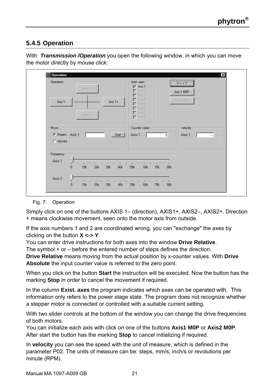# **5.4.5 Operation**

| Operation-<br>$Asis 2+$                                           | exist. axes<br>$\nabla$ Axis 1<br>$\Gamma$ Axis 2<br>$\Gamma$ Axis 3                                              | $X \leftrightarrow Y$<br>Axis 1 MOP- |
|-------------------------------------------------------------------|-------------------------------------------------------------------------------------------------------------------|--------------------------------------|
| Axis 1+<br>Axis 1-<br>Avis 2-                                     | $\Gamma$ Axis 4<br>$\Gamma$ Axis 5<br>$\Gamma$ Axis 6<br>$\Gamma$ Axis 7<br>$\Gamma$ Axis 8                       | Axis 2 MOP-                          |
| Move<br>Start<br>C Relativ Axis 1<br>C Absolut                    | Counter value<br>Axis 1<br>$\overline{0}$                                                                         | velocity-<br>Axis 1<br>$\ldots$      |
| Frequency<br>Axis 1<br>$\overline{0}$<br>10k<br>20k<br>40k<br>30k | ٠<br>٠<br>60k<br>70k<br>50k<br>80k                                                                                |                                      |
| Axis 2<br>٠<br>٠<br>10k<br>20k<br>0<br>30k<br>40k                 | n,<br>$\mathbf{I}$<br>٠<br>$\mathbf{I}$<br>×<br>$\mathbf{u}$<br>$\blacksquare$<br>60k<br>70k<br><b>50k</b><br>80k |                                      |

With *Transmission /Operation* you open the following window, in which you can move the motor directly by mouse click:

#### Fig. 7: Operation

Simply click on one of the buttons AXIS 1– (direction), AXIS1+, AXIS2–, AXIS2+. Direction + means clockwise movement, seen onto the motor axis from outside.

If the axis numbers 1 and 2 are coordinated wrong, you can "exchange" the axes by clicking on the button **X <-> Y**.

You can enter drive instructions for both axes into the window **Drive Relative**. The symbol + or – before the entered number of steps defines the direction.

**Drive Relative** means moving from the actual position by x-counter values. With **Drive Absolute** the input counter value is referred to the zero point.

When you click on the button **Start** the instruction will be executed. Now the button has the marking **Stop** in order to cancel the movement if required.

In the column **Exist. axes** the program indicates which axes can be operated with. This information only refers to the power stage state. The program does not recognize whether a stepper motor is connected or controlled with a suitable current setting.

With two slider controls at the bottom of the window you can change the drive frequencies of both motors.

You can initialize each axis with click on one of the buttons **Axis1 M0P** or **Axis2 M0P**. After start the button has the marking **Stop** to cancel initializing if required.

In **velocity** you can see the speed with the unit of measure, which is defined in the parameter P02. The units of measure can be: steps, mm/s, inch/s or revolutions per minute (RPM).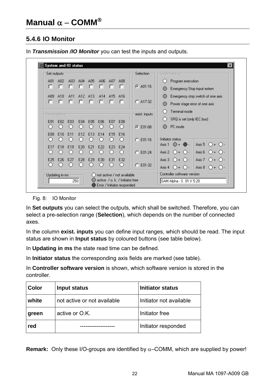# **5.4.6 IO Monitor**

| Set outputs:    |                 |          |                        |          |          |                        |                               | Selection:     | Systemstatus-                                                                                                   |
|-----------------|-----------------|----------|------------------------|----------|----------|------------------------|-------------------------------|----------------|-----------------------------------------------------------------------------------------------------------------|
| A01<br>п        | A02<br>п        | A03<br>п | A04<br>п               | A05<br>г | A06<br>п | AD7<br>г               | A <sub>08</sub><br>п          | $G$ A01-16     | Program execution<br>Emergency Stop input extern                                                                |
| A09<br>г        | A10             | A11      | A12<br>г               | A13      | A14      | A15                    | $\Delta$ 16<br>п              | $C$ A17-32     | Emergency stop switch of one axis<br>Power stage error of one axis                                              |
| Inputs status-  |                 |          |                        |          |          |                        |                               | exist. inputs- | Terminal mode<br>O                                                                                              |
| E01<br>O        | E <sub>n2</sub> | E03      | E04<br>Ω               | E05      | E06      | E07<br>O               | E08<br>$\left( \right)$       | $C E 101-08$   | SRQ is set (only IEC bus)<br>O<br>PC mode<br>$\left( \right)$                                                   |
| E09<br>, ,      | <b>F10</b>      | F11      | F <sub>12</sub><br>, , | E13      | E14      | F15<br>O               | <b>F16</b><br>O               | $C$ E01-16     | Initiator status                                                                                                |
| E17<br>O        | E18             | E19<br>Ω | E20<br>O               | E21      | E22      | E23<br>O               | E24<br>$\left(\right)$        | $C$ E01-24     | Axis 5 $\bigcirc + \bigcirc$ .<br>Axis 1<br>$() + @.$<br>Axis 2 $\bigcirc$ + $\bigcirc$ -<br>Axis 6 $() + ()$   |
| E25<br>0        | E26             | E27      | E28<br>O               | E29      | E30<br>Ω | E31<br>$\left(\right)$ | E32<br>$\langle$ )            | E01-32<br>o    | Axis $3 \bigcirc + \bigcirc$ .<br>Axis 7<br>$() + ()$<br>Axis 8 $\bigcirc$ + $\bigcirc$ -<br>Axis 4 $() + ()$ . |
| Updating in ms- |                 |          |                        |          |          |                        | () not active / not available |                | Controller software version                                                                                     |

In *Transmission /IO Monitor* you can test the inputs and outputs.

Fig. 8: IO Monitor

In **Set outputs** you can select the outputs, which shall be switched. Therefore, you can select a pre-selection range (**Selection**), which depends on the number of connected axes.

In the column **exist. inputs** you can define input ranges, which should be read. The input status are shown in **Input status** by coloured buttons (see table below).

In **Updating in ms** the state read time can be defined.

In **Initiator status** the corresponding axis fields are marked (see table).

In **Controller software version** is shown, which software version is stored in the controller.

| Color | Input status                | Initiator status        |
|-------|-----------------------------|-------------------------|
| white | not active or not available | Initiator not available |
| green | active or O.K.              | Initiator free          |
| red   |                             | Initiator responded     |

**Remark:** Only these I/O-groups are identified by  $\alpha$ –COMM, which are supplied by power!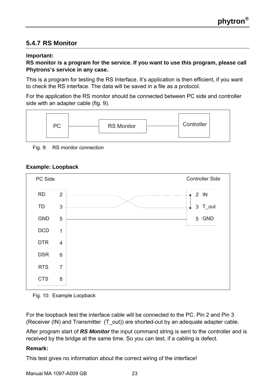# **5.4.7 RS Monitor**

#### **Important:**

#### **RS monitor is a program for the service. If you want to use this program, please call Phytrons's service in any case.**

This is a program for testing the RS Interface. It's application is then efficient, if you want to check the RS interface. The data will be saved in a file as a protocol.

For the application the RS monitor should be connected between PC side and controller side with an adapter cable (fig. 9).



Fig. 9: RS monitor connection

#### **Example: Loopback**



Fig. 10: Example Loopback

For the loopback test the interface cable will be connected to the PC. Pin 2 and Pin 3 (Receiver (IN) and Transmitter (T\_out)) are shorted-out by an adequate adapter cable.

After program start of *RS Monitor* the input command string is sent to the controller and is received by the bridge at the same time. So you can test, if a cabling is defect.

#### **Remark:**

This test gives no information about the correct wiring of the interface!

Manual MA 1097-A009 GB 23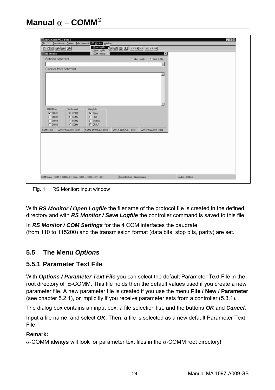| <b>RS Monitor</b>                     | COM settings           |                        | $\vert x \vert$         |  |
|---------------------------------------|------------------------|------------------------|-------------------------|--|
| Send to controller                    |                        | $G$ abc > ABC          | C Abc → Abc             |  |
| Receive from controller               |                        |                        | Ξ                       |  |
|                                       |                        |                        | 図                       |  |
|                                       |                        |                        |                         |  |
|                                       |                        |                        |                         |  |
|                                       |                        |                        |                         |  |
|                                       |                        |                        |                         |  |
|                                       |                        |                        |                         |  |
|                                       |                        |                        | $\overline{\mathbb{E}}$ |  |
| COM Open:<br>Set to send              | String Info            |                        |                         |  |
| <b>P COM1</b><br>G COM1               | IV Sting               |                        |                         |  |
| $\Gamma$ COM2<br>$C$ COM2             | $\Gamma$ HEX           |                        |                         |  |
| $\Gamma$ COM3<br>$C$ COM <sub>3</sub> | $\Gamma$ Endett        |                        |                         |  |
| $\Gamma$ COM4<br>$C$ COM4             | <b>IZ CRAF</b>         |                        |                         |  |
| COM Status<br>COM1: 9600,n,8,1 open   | COM2: 9600,n,8,1 close | COM3: 9600,n,8,1 close | COM4: 9600,n,8,1 close  |  |
|                                       |                        |                        |                         |  |
|                                       |                        |                        |                         |  |
|                                       |                        |                        |                         |  |
|                                       |                        |                        |                         |  |
|                                       |                        |                        |                         |  |
|                                       |                        |                        |                         |  |
|                                       |                        |                        |                         |  |

Fig. 11: RS Monitor: input window

With *RS Monitor / Open Logfile* the filename of the protocol file is created in the defined directory and with *RS Monitor / Save Logfile* the controller command is saved to this file.

In *RS Monitor / COM Settings* for the 4 COM interfaces the baudrate (from 110 to 115200) and the transmission format (data bits, stop bits, parity) are set.

# **5.5 The Menu** *Options*

# **5.5.1 Parameter Text File**

With *Options / Parameter Text File* you can select the default Parameter Text File in the root directory of  $α$ -COMM. This file holds then the default values used if you create a new parameter file. A new parameter file is created if you use the menu **File / New / Parameter**  (see chapter 5.2.1), or implicitly if you receive parameter sets from a controller (5.3.1).

The dialog box contains an input box, a file selection list, and the buttons *OK* and *Cancel*.

Input a file name, and select *OK*. Then, a file is selected as a new default Parameter Text File.

#### **Remark:**

α-COMM **always** will look for parameter text files in the α-COMM root directory!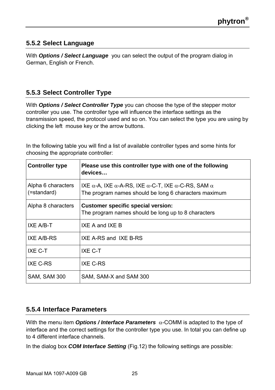# **5.5.2 Select Language**

With *Options / Select Language* you can select the output of the program dialog in German, English or French.

# **5.5.3 Select Controller Type**

With *Options / Select Controller Type* you can choose the type of the stepper motor controller you use. The controller type will influence the interface settings as the transmission speed, the protocol used and so on. You can select the type you are using by clicking the left mouse key or the arrow buttons.

In the following table you will find a list of available controller types and some hints for choosing the appropriate controller:

| <b>Controller type</b>            | Please use this controller type with one of the following<br>devices                                              |
|-----------------------------------|-------------------------------------------------------------------------------------------------------------------|
| Alpha 6 characters<br>(=standard) | IXE α-A, IXE α-A-RS, IXE α-C-T, IXE α-C-RS, SAM $\alpha$<br>The program names should be long 6 characters maximum |
| Alpha 8 characters                | <b>Customer specific special version:</b><br>The program names should be long up to 8 characters                  |
| IXE A/B-T                         | IXF A and IXF B                                                                                                   |
| IXE A/B-RS                        | IXE A-RS and IXE B-RS                                                                                             |
| IXE C-T                           | IXE C-T                                                                                                           |
| IXE C-RS                          | IXE C-RS                                                                                                          |
| SAM. SAM 300                      | SAM, SAM-X and SAM 300                                                                                            |

# **5.5.4 Interface Parameters**

With the menu item *Options / Interface Parameters* α-COMM is adapted to the type of interface and the correct settings for the controller type you use. In total you can define up to 4 different interface channels.

In the dialog box *COM Interface Setting* (Fig.12) the following settings are possible: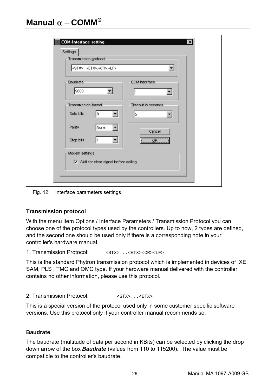| Transmission protocol<br><stx><etx>,<cr>,<lf></lf></cr></etx></stx> |      |                         |  |
|---------------------------------------------------------------------|------|-------------------------|--|
| Baudrate<br>9600                                                    |      | COM Interface<br>1      |  |
| Transmission format<br>Data bits                                    | l8   | Timeout in seconds<br>5 |  |
| Parity                                                              | None | Cancel                  |  |
| Stop bits<br>Modern settings                                        | I1   | K                       |  |

Fig. 12: Interface parameters settings

#### **Transmission protocol**

With the menu item Options / Interface Parameters / Transmission Protocol you can choose one of the protocol types used by the controllers. Up to now, 2 types are defined, and the second one should be used only if there is a corresponding note in your controller's hardware manual.

1. Transmission Protocol: <STX>...<ETX><CR><LF>

This is the standard Phytron transmission protocol which is implemented in devices of IXE, SAM, PLS , TMC and OMC type. If your hardware manual delivered with the controller contains no other information, please use this protocol.

2. Transmission Protocol: <STX>...<ETX>

This is a special version of the protocol used only in some customer specific software versions. Use this protocol only if your controller manual recommends so.

#### **Baudrate**

The baudrate (multitude of data per second in KBits) can be selected by clicking the drop down arrow of the box *Baudrate* (values from 110 to 115200). The value must be compatible to the controller's baudrate.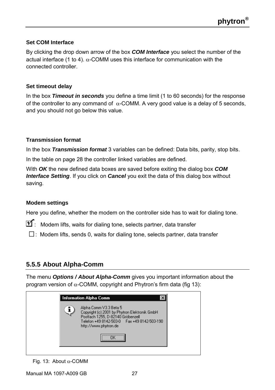#### **Set COM Interface**

By clicking the drop down arrow of the box *COM Interface* you select the number of the actual interface (1 to 4).  $\alpha$ -COMM uses this interface for communication with the connected controller.

#### **Set timeout delay**

In the box *Timeout in seconds* you define a time limit (1 to 60 seconds) for the response of the controller to any command of α-COMM. A very good value is a delay of 5 seconds, and you should not go below this value.

#### **Transmission format**

In the box *Transmission format* 3 variables can be defined: Data bits, parity, stop bits.

In the table on page 28 the controller linked variables are defined.

With *OK* the new defined data boxes are saved before exiting the dialog box *COM Interface Setting*. If you click on *Cancel* you exit the data of this dialog box without saving.

#### **Modem settings**

Here you define, whether the modem on the controller side has to wait for dialing tone.

 $\widehat{\mathbf{M}}$ : Modem lifts, waits for dialing tone, selects partner, data transfer

 $\Box$ : Modem lifts, sends 0, waits for dialing tone, selects partner, data transfer

# **5.5.5 About Alpha-Comm**

The menu *Options / About Alpha-Comm* gives you important information about the program version of α-COMM, copyright and Phytron's firm data (fig 13):

| http://www.phytron.de |
|-----------------------|
|-----------------------|

Fig. 13: About α-COMM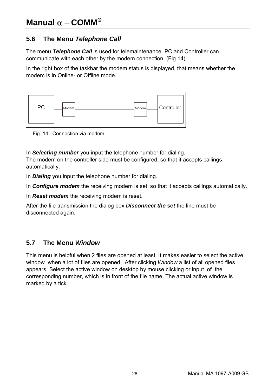# **5.6 The Menu** *Telephone Call*

The menu *Telephone Call* is used for telemaintenance. PC and Controller can communicate with each other by the modem connection. (Fig 14).

In the right box of the taskbar the modem status is displayed, that means whether the modem is in Online- or Offline mode.



Fig. 14: Connection via modem

In *Selecting number* you input the telephone number for dialing.

The modem on the controller side must be configured, so that it accepts callings automatically.

In *Dialing* you input the telephone number for dialing.

In *Configure modem* the receiving modem is set, so that it accepts callings automatically.

In *Reset modem* the receiving modem is reset.

After the file transmission the dialog box *Disconnect the set* the line must be disconnected again.

# **5.7 The Menu** *Window*

This menu is helpful when 2 files are opened at least. It makes easier to select the active window when a lot of files are opened. After clicking *Window* a list of all opened files appears. Select the active window on desktop by mouse clicking or input of the corresponding number, which is in front of the file name. The actual active window is marked by a tick.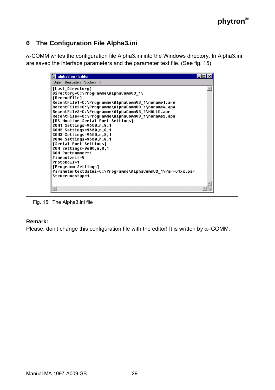# **6 The Configuration File Alpha3.ini**

α-COMM writes the configuration file Alpha3.ini into the Windows directory. In Alpha3.ini are saved the interface parameters and the parameter text file. (See fig. 15)



Fig. 15: The Alpha3.ini file

#### **Remark:**

Please, don't change this configuration file with the editor! It is written by  $\alpha$ –COMM.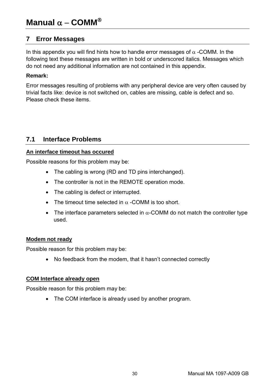# **7 Error Messages**

In this appendix you will find hints how to handle error messages of  $\alpha$  -COMM. In the following text these messages are written in bold or underscored italics. Messages which do not need any additional information are not contained in this appendix.

#### **Remark:**

Error messages resulting of problems with any peripheral device are very often caused by trivial facts like: device is not switched on, cables are missing, cable is defect and so. Please check these items.

# **7.1 Interface Problems**

#### **An interface timeout has occured**

Possible reasons for this problem may be:

- The cabling is wrong (RD and TD pins interchanged).
- The controller is not in the REMOTE operation mode.
- The cabling is defect or interrupted.
- The timeout time selected in  $\alpha$  -COMM is too short.
- The interface parameters selected in  $\alpha$ -COMM do not match the controller type used.

#### **Modem not ready**

Possible reason for this problem may be:

• No feedback from the modem, that it hasn't connected correctly

#### **COM Interface already open**

Possible reason for this problem may be:

• The COM interface is already used by another program.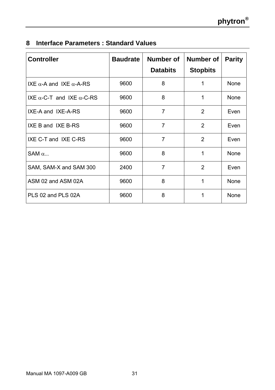|  |  | 8 Interface Parameters: Standard Values |  |  |
|--|--|-----------------------------------------|--|--|
|--|--|-----------------------------------------|--|--|

| <b>Controller</b>                        | <b>Baudrate</b> | Number of<br><b>Databits</b> | Number of<br><b>Stopbits</b> | <b>Parity</b> |
|------------------------------------------|-----------------|------------------------------|------------------------------|---------------|
| IXE $α$ -A and IXE $α$ -A-RS             | 9600            | 8                            | 1                            | None          |
| IXE $\alpha$ -C-T and IXE $\alpha$ -C-RS | 9600            | 8                            | 1                            | None          |
| IXE-A and IXE-A-RS                       | 9600            | 7                            | 2                            | Even          |
| IXE B and IXE B-RS                       | 9600            | 7                            | 2                            | Even          |
| IXE C-T and IXE C-RS                     | 9600            | 7                            | 2                            | Even          |
| SAM $\alpha$                             | 9600            | 8                            | 1                            | None          |
| SAM, SAM-X and SAM 300                   | 2400            | 7                            | $\mathfrak{p}$               | Even          |
| ASM 02 and ASM 02A                       | 9600            | 8                            | 1                            | None          |
| PLS 02 and PLS 02A                       | 9600            | 8                            | 1                            | None          |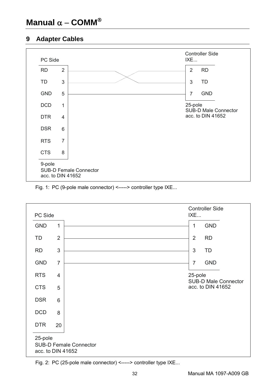# **9 Adapter Cables**



#### Fig. 1: PC (9-pole male connector) <-----> controller type IXE...



Fig. 2: PC (25-pole male connector) <-----> controller type IXE...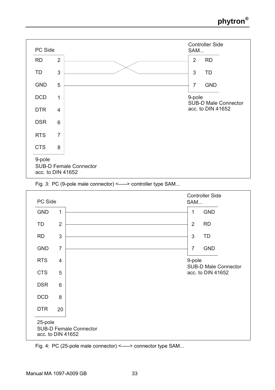





Fig. 4: PC (25-pole male connector) <-----> connector type SAM...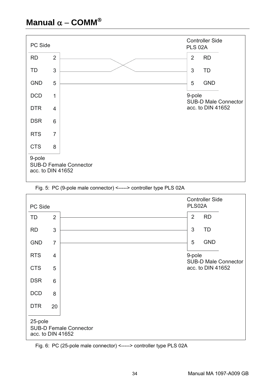





Fig. 6: PC (25-pole male connector) <-----> controller type PLS 02A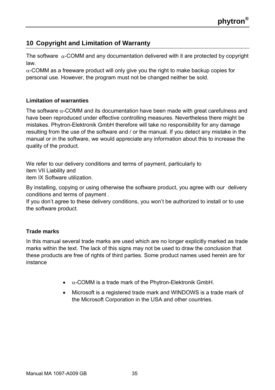# **10 Copyright and Limitation of Warranty**

The software  $\alpha$ -COMM and any documentation delivered with it are protected by copyright law.

 $\alpha$ -COMM as a freeware product will only give you the right to make backup copies for personal use. However, the program must not be changed neither be sold.

#### **Limitation of warranties**

The software  $\alpha$ -COMM and its documentation have been made with great carefulness and have been reproduced under effective controlling measures. Nevertheless there might be mistakes. Phytron-Elektronik GmbH therefore will take no responsibility for any damage resulting from the use of the software and / or the manual. If you detect any mistake in the manual or in the software, we would appreciate any information about this to increase the quality of the product.

We refer to our delivery conditions and terms of payment, particularly to item VII Liability and item IX Software utilization.

By installing, copying or using otherwise the software product, you agree with our delivery conditions and terms of payment .

If you don't agree to these delivery conditions, you won't be authorized to install or to use the software product.

#### **Trade marks**

In this manual several trade marks are used which are no longer explicitly marked as trade marks within the text. The lack of this signs may not be used to draw the conclusion that these products are free of rights of third parties. Some product names used herein are for instance

- $\bullet$   $\alpha$ -COMM is a trade mark of the Phytron-Elektronik GmbH.
- Microsoft is a registered trade mark and WINDOWS is a trade mark of the Microsoft Corporation in the USA and other countries.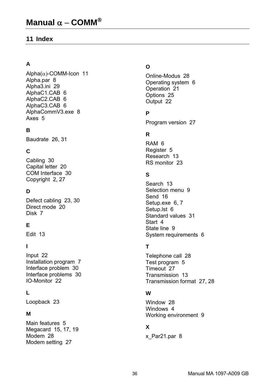### **11 Index**

# **A**

Alpha(α)-COMM-Icon 11 Alpha.par 8 Alpha3.ini 29 AlphaC1.CAB 6 AlphaC2.CAB 6 AlphaC3.CAB 6 AlphaCommV3.exe 8 Axes 5

### **B**

Baudrate 26, 31

# **C**

Cabling 30 Capital letter 20 COM Interface 30 Copyright 2, 27

#### **D**

Defect cabling 23, 30 Direct mode 20 Disk 7

### **E**

Edit 13

#### **I**

Input 22 Installation program 7 Interface problem 30 Interface problems 30 IO-Monitor 22

### **L**

Loopback 23

#### **M**

Main features 5 Megacard 15, 17, 19 Modem 28 Modem setting 27

#### **O**

Online-Modus 28 Operating system 6 Operation 21 Options 25 Output 22

#### **P**

Program version 27

### **R**

RAM 6 Register 5 Research 13 RS monitor 23

#### **S**

Search 13 Selection menu 9 Send 16 Setup.exe 6, 7 Setup.lst 6 Standard values 31 Start 4 State line 9 System requirements 6

# **T**

Telephone call 28 Test program 5 Timeout 27 Transmission 13 Transmission format 27, 28

#### **W**

Window 28 Windows 4 Working environment 9

# **X**

x\_Par21.par 8